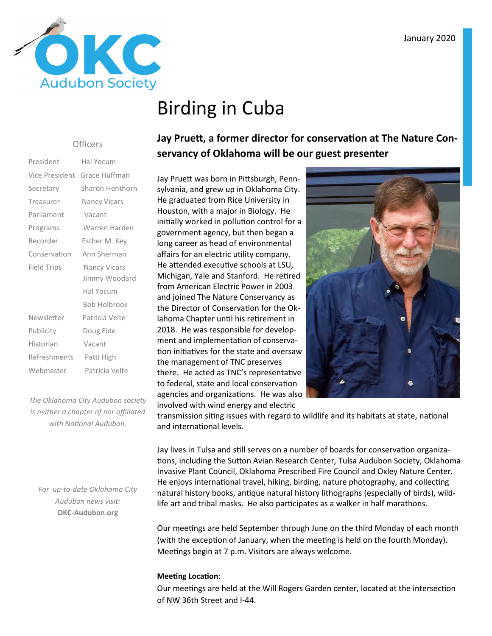

# Birding in Cuba

#### **Officers**

| President          | Hal Yocum           |  |  |
|--------------------|---------------------|--|--|
| Vice President     | Grace Huffman       |  |  |
| Secretary          | Sharon Henthorn     |  |  |
| Treasurer          | Nancy Vicars        |  |  |
| Parliament         | Vacant              |  |  |
| Programs           | Warren Harden       |  |  |
| Recorder           | Esther M. Key       |  |  |
| Conservation       | Ann Sherman         |  |  |
| <b>Field Trips</b> | <b>Nancy Vicars</b> |  |  |
|                    | Jimmy Woodard       |  |  |
|                    | Hal Yocum           |  |  |
|                    | <b>Bob Holbrook</b> |  |  |
| Newsletter         | Patricia Velte      |  |  |
| Publicity          | Doug Eide           |  |  |
| Historian          | Vacant              |  |  |
| Refreshments       | Patti High          |  |  |
| Webmaster          | Patricia Velte      |  |  |

*The Oklahoma City Audubon society is neither a chapter of nor affiliated*  with National Audubon.

*For up-to-date Oklahoma City Audubon news visit:* **OKC-Audubon.org** 

### Jay Pruett, a former director for conservation at The Nature Con**servancy of Oklahoma will be our guest presenter**

Jay Pruett was born in Pittsburgh, Pennsylvania, and grew up in Oklahoma City. He graduated from Rice University in Houston, with a major in Biology. He initially worked in pollution control for a government agency, but then began a long career as head of environmental affairs for an electric utility company. He attended executive schools at LSU, Michigan, Yale and Stanford. He retired from American Electric Power in 2003 and joined The Nature Conservancy as the Director of Conservation for the Oklahoma Chapter until his retirement in 2018. He was responsible for development and implementation of conservation initiatives for the state and oversaw the management of TNC preserves there. He acted as TNC's representative to federal, state and local conservation agencies and organizations. He was also involved with wind energy and electric



transmission siting issues with regard to wildlife and its habitats at state, national and international levels.

Jay lives in Tulsa and still serves on a number of boards for conservation organizations, including the Sutton Avian Research Center, Tulsa Audubon Society, Oklahoma Invasive Plant Council, Oklahoma Prescribed Fire Council and Oxley Nature Center. He enjoys international travel, hiking, birding, nature photography, and collecting natural history books, antique natural history lithographs (especially of birds), wildlife art and tribal masks. He also participates as a walker in half marathons.

Our meetings are held September through June on the third Monday of each month (with the exception of January, when the meeting is held on the fourth Monday). Meetings begin at 7 p.m. Visitors are always welcome.

#### **Meeting Location:**

Our meetings are held at the Will Rogers Garden center, located at the intersection of NW 36th Street and I-44.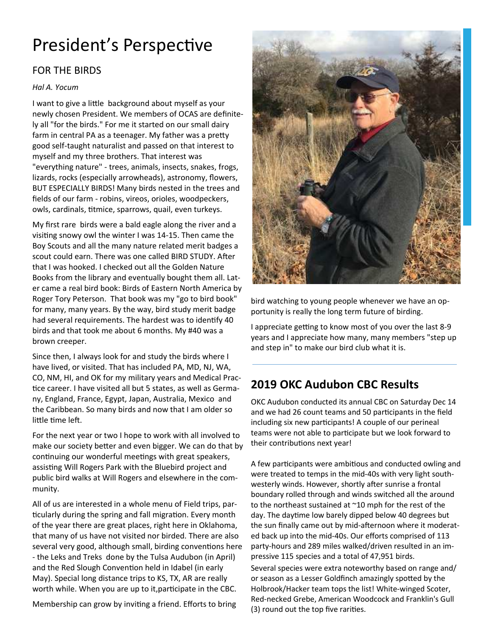# President's Perspective

### FOR THE BIRDS

#### *Hal A. Yocum*

I want to give a little background about myself as your newly chosen President. We members of OCAS are definitely all "for the birds." For me it started on our small dairy farm in central PA as a teenager. My father was a pretty good self-taught naturalist and passed on that interest to myself and my three brothers. That interest was "everything nature" - trees, animals, insects, snakes, frogs, lizards, rocks (especially arrowheads), astronomy, flowers, BUT ESPECIALLY BIRDS! Many birds nested in the trees and fields of our farm - robins, vireos, orioles, woodpeckers, owls, cardinals, titmice, sparrows, quail, even turkeys.

My first rare birds were a bald eagle along the river and a visiting snowy owl the winter I was 14-15. Then came the Boy Scouts and all the many nature related merit badges a scout could earn. There was one called BIRD STUDY. After that I was hooked. I checked out all the Golden Nature Books from the library and eventually bought them all. Later came a real bird book: Birds of Eastern North America by Roger Tory Peterson. That book was my "go to bird book" for many, many years. By the way, bird study merit badge had several requirements. The hardest was to identify 40 birds and that took me about 6 months. My #40 was a brown creeper.

Since then, I always look for and study the birds where I have lived, or visited. That has included PA, MD, NJ, WA, CO, NM, HI, and OK for my military years and Medical Prac tice career. I have visited all but 5 states, as well as Germany, England, France, Egypt, Japan, Australia, Mexico and the Caribbean. So many birds and now that I am older so little time left.

For the next year or two I hope to work with all involved to make our society better and even bigger. We can do that by continuing our wonderful meetings with great speakers, assisting Will Rogers Park with the Bluebird project and public bird walks at Will Rogers and elsewhere in the community.

All of us are interested in a whole menu of Field trips, par ticularly during the spring and fall migration. Every month of the year there are great places, right here in Oklahoma, that many of us have not visited nor birded. There are also several very good, although small, birding conventions here - the Leks and Treks done by the Tulsa Audubon (in April) and the Red Slough Convention held in Idabel (in early May). Special long distance trips to KS, TX, AR are really worth while. When you are up to it, participate in the CBC.

Membership can grow by inviting a friend. Efforts to bring



bird watching to young people whenever we have an opportunity is really the long term future of birding.

I appreciate getting to know most of you over the last 8-9 years and I appreciate how many, many members "step up and step in" to make our bird club what it is.

### **2019 OKC Audubon CBC Results**

OKC Audubon conducted its annual CBC on Saturday Dec 14 and we had 26 count teams and 50 participants in the field including six new participants! A couple of our perineal teams were not able to participate but we look forward to their contributions next year!

A few participants were ambitious and conducted owling and were treated to temps in the mid-40s with very light southwesterly winds. However, shortly after sunrise a frontal boundary rolled through and winds switched all the around to the northeast sustained at  $\sim$  10 mph for the rest of the day. The daytime low barely dipped below 40 degrees but the sun finally came out by mid-afternoon where it moderated back up into the mid-40s. Our efforts comprised of 113 party-hours and 289 miles walked/driven resulted in an impressive 115 species and a total of 47,951 birds.

Several species were extra noteworthy based on range and/ or season as a Lesser Goldfinch amazingly spotted by the Holbrook/Hacker team tops the list! White-winged Scoter, Red-necked Grebe, American Woodcock and Franklin's Gull (3) round out the top five rarities.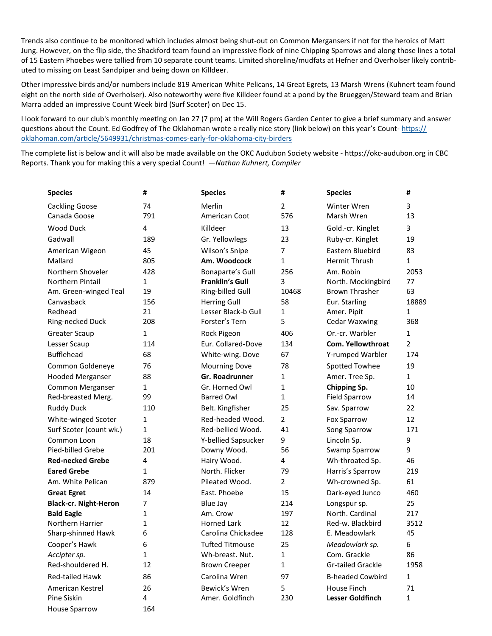Trends also continue to be monitored which includes almost being shut-out on Common Mergansers if not for the heroics of Matt Jung. However, on the flip side, the Shackford team found an impressive flock of nine Chipping Sparrows and along those lines a total of 15 Eastern Phoebes were tallied from 10 separate count teams. Limited shoreline/mudfats at Hefner and Overholser likely contributed to missing on Least Sandpiper and being down on Killdeer.

Other impressive birds and/or numbers include 819 American White Pelicans, 14 Great Egrets, 13 Marsh Wrens (Kuhnert team found eight on the north side of Overholser). Also noteworthy were five Killdeer found at a pond by the Brueggen/Steward team and Brian Marra added an impressive Count Week bird (Surf Scoter) on Dec 15.

I look forward to our club's monthly meeting on Jan 27 (7 pm) at the Will Rogers Garden Center to give a brief summary and answer questions about the Count. Ed Godfrey of The Oklahoman wrote a really nice story (link below) on this year's Count- https:// oklahoman.com/article/5649931/christmas-comes-early-for-oklahoma-city-birders

The complete list is below and it will also be made available on the OKC Audubon Society website - https://okc-audubon.org in CBC Reports. Thank you for making this a very special Count! —*Nathan Kuhnert, Compiler* 

| <b>Species</b>               | #            | <b>Species</b>         | #              | <b>Species</b>           | #              |
|------------------------------|--------------|------------------------|----------------|--------------------------|----------------|
| <b>Cackling Goose</b>        | 74           | Merlin                 | 2              | Winter Wren              | 3              |
| Canada Goose                 | 791          | American Coot          | 576            | Marsh Wren               | 13             |
| Wood Duck                    | 4            | Killdeer               | 13             | Gold.-cr. Kinglet        | 3              |
| Gadwall                      | 189          | Gr. Yellowlegs         | 23             | Ruby-cr. Kinglet         | 19             |
| American Wigeon              | 45           | Wilson's Snipe         | 7              | Eastern Bluebird         | 83             |
| Mallard                      | 805          | Am. Woodcock           | 1              | <b>Hermit Thrush</b>     | $\mathbf{1}$   |
| Northern Shoveler            | 428          | Bonaparte's Gull       | 256            | Am. Robin                | 2053           |
| Northern Pintail             | 1            | <b>Franklin's Gull</b> | 3              | North. Mockingbird       | 77             |
| Am. Green-winged Teal        | 19           | Ring-billed Gull       | 10468          | <b>Brown Thrasher</b>    | 63             |
| Canvasback                   | 156          | <b>Herring Gull</b>    | 58             | Eur. Starling            | 18889          |
| Redhead                      | 21           | Lesser Black-b Gull    | $\mathbf{1}$   | Amer. Pipit              | 1              |
| Ring-necked Duck             | 208          | Forster's Tern         | 5              | <b>Cedar Waxwing</b>     | 368            |
| <b>Greater Scaup</b>         | 1            | Rock Pigeon            | 406            | Or.-cr. Warbler          | $\mathbf{1}$   |
| Lesser Scaup                 | 114          | Eur. Collared-Dove     | 134            | <b>Com. Yellowthroat</b> | $\overline{2}$ |
| <b>Bufflehead</b>            | 68           | White-wing. Dove       | 67             | Y-rumped Warbler         | 174            |
| Common Goldeneye             | 76           | <b>Mourning Dove</b>   | 78             | Spotted Towhee           | 19             |
| <b>Hooded Merganser</b>      | 88           | <b>Gr. Roadrunner</b>  | 1              | Amer. Tree Sp.           | $\mathbf{1}$   |
| Common Merganser             | $\mathbf{1}$ | Gr. Horned Owl         | 1              | Chipping Sp.             | 10             |
| Red-breasted Merg.           | 99           | <b>Barred Owl</b>      | 1              | <b>Field Sparrow</b>     | 14             |
| <b>Ruddy Duck</b>            | 110          | Belt. Kingfisher       | 25             | Sav. Sparrow             | 22             |
| White-winged Scoter          | 1            | Red-headed Wood.       | $\overline{2}$ | <b>Fox Sparrow</b>       | 12             |
| Surf Scoter (count wk.)      | $\mathbf{1}$ | Red-bellied Wood.      | 41             | Song Sparrow             | 171            |
| Common Loon                  | 18           | Y-bellied Sapsucker    | 9              | Lincoln Sp.              | 9              |
| Pied-billed Grebe            | 201          | Downy Wood.            | 56             | Swamp Sparrow            | 9              |
| <b>Red-necked Grebe</b>      | 4            | Hairy Wood.            | 4              | Wh-throated Sp.          | 46             |
| <b>Eared Grebe</b>           | 1            | North. Flicker         | 79             | Harris's Sparrow         | 219            |
| Am. White Pelican            | 879          | Pileated Wood.         | $\overline{2}$ | Wh-crowned Sp.           | 61             |
| <b>Great Egret</b>           | 14           | East. Phoebe           | 15             | Dark-eyed Junco          | 460            |
| <b>Black-cr. Night-Heron</b> | 7            | Blue Jay               | 214            | Longspur sp.             | 25             |
| <b>Bald Eagle</b>            | 1            | Am. Crow               | 197            | North. Cardinal          | 217            |
| Northern Harrier             | 1            | <b>Horned Lark</b>     | 12             | Red-w. Blackbird         | 3512           |
| Sharp-shinned Hawk           | 6            | Carolina Chickadee     | 128            | E. Meadowlark            | 45             |
| Cooper's Hawk                | 6            | <b>Tufted Titmouse</b> | 25             | Meadowlark sp.           | 6              |
| Accipter sp.                 | 1            | Wh-breast. Nut.        | 1              | Com. Grackle             | 86             |
| Red-shouldered H.            | 12           | <b>Brown Creeper</b>   | 1              | <b>Gr-tailed Grackle</b> | 1958           |
| Red-tailed Hawk              | 86           | Carolina Wren          | 97             | <b>B-headed Cowbird</b>  | 1              |
| American Kestrel             | 26           | Bewick's Wren          | 5              | House Finch              | 71             |
| Pine Siskin                  | 4            | Amer. Goldfinch        | 230            | Lesser Goldfinch         | $\mathbf{1}$   |
| <b>House Sparrow</b>         | 164          |                        |                |                          |                |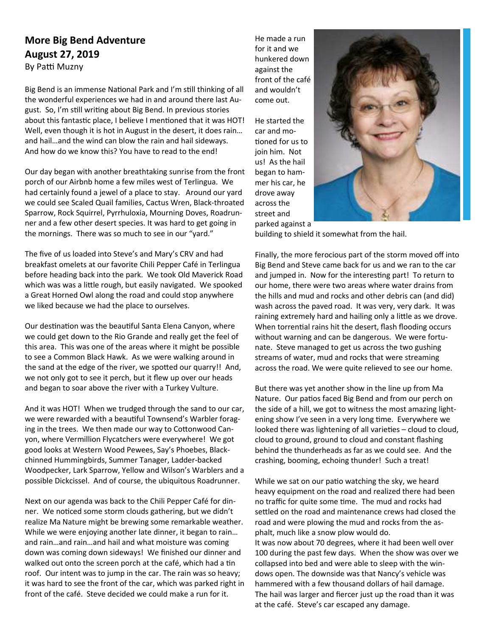### **More Big Bend Adventure August 27, 2019**

By Patti Muzny

Big Bend is an immense National Park and I'm still thinking of all the wonderful experiences we had in and around there last August. So, I'm still writing about Big Bend. In previous stories about this fantastic place, I believe I mentioned that it was HOT! Well, even though it is hot in August in the desert, it does rain… and hail…and the wind can blow the rain and hail sideways. And how do we know this? You have to read to the end!

Our day began with another breathtaking sunrise from the front porch of our Airbnb home a few miles west of Terlingua. We had certainly found a jewel of a place to stay. Around our yard we could see Scaled Quail families, Cactus Wren, Black-throated Sparrow, Rock Squirrel, Pyrrhuloxia, Mourning Doves, Roadrunner and a few other desert species. It was hard to get going in the mornings. There was so much to see in our "yard."

The five of us loaded into Steve's and Mary's CRV and had breakfast omelets at our favorite Chili Pepper Café in Terlingua before heading back into the park. We took Old Maverick Road which was was a little rough, but easily navigated. We spooked a Great Horned Owl along the road and could stop anywhere we liked because we had the place to ourselves.

Our destination was the beautiful Santa Elena Canyon, where we could get down to the Rio Grande and really get the feel of this area. This was one of the areas where it might be possible to see a Common Black Hawk. As we were walking around in the sand at the edge of the river, we spotted our quarry!! And, we not only got to see it perch, but it flew up over our heads and began to soar above the river with a Turkey Vulture.

And it was HOT! When we trudged through the sand to our car, we were rewarded with a beautiful Townsend's Warbler foraging in the trees. We then made our way to Cottonwood Canyon, where Vermillion Flycatchers were everywhere! We got good looks at Western Wood Pewees, Say's Phoebes, Blackchinned Hummingbirds, Summer Tanager, Ladder-backed Woodpecker, Lark Sparrow, Yellow and Wilson's Warblers and a possible Dickcissel. And of course, the ubiquitous Roadrunner.

Next on our agenda was back to the Chili Pepper Café for dinner. We noticed some storm clouds gathering, but we didn't realize Ma Nature might be brewing some remarkable weather. While we were enjoying another late dinner, it began to rain… and rain…and rain…and hail and what moisture was coming down was coming down sideways! We finished our dinner and walked out onto the screen porch at the café, which had a tin roof. Our intent was to jump in the car. The rain was so heavy; it was hard to see the front of the car, which was parked right in front of the café. Steve decided we could make a run for it.

He made a run for it and we hunkered down against the front of the café and wouldn't come out.

He started the car and mo tioned for us to join him. Not us! As the hail began to hammer his car, he drove away across the street and parked against a



building to shield it somewhat from the hail.

Finally, the more ferocious part of the storm moved off into Big Bend and Steve came back for us and we ran to the car and jumped in. Now for the interesting part! To return to our home, there were two areas where water drains from the hills and mud and rocks and other debris can (and did) wash across the paved road. It was very, very dark. It was raining extremely hard and hailing only a little as we drove. When torrential rains hit the desert, flash flooding occurs without warning and can be dangerous. We were fortunate. Steve managed to get us across the two gushing streams of water, mud and rocks that were streaming across the road. We were quite relieved to see our home.

But there was yet another show in the line up from Ma Nature. Our patios faced Big Bend and from our perch on the side of a hill, we got to witness the most amazing lightening show I've seen in a very long time. Everywhere we looked there was lightening of all varieties  $-$  cloud to cloud, cloud to ground, ground to cloud and constant flashing behind the thunderheads as far as we could see. And the crashing, booming, echoing thunder! Such a treat!

While we sat on our patio watching the sky, we heard heavy equipment on the road and realized there had been no traffic for quite some time. The mud and rocks had settled on the road and maintenance crews had closed the road and were plowing the mud and rocks from the asphalt, much like a snow plow would do. It was now about 70 degrees, where it had been well over 100 during the past few days. When the show was over we collapsed into bed and were able to sleep with the win-

dows open. The downside was that Nancy's vehicle was hammered with a few thousand dollars of hail damage. The hail was larger and fiercer just up the road than it was at the café. Steve's car escaped any damage.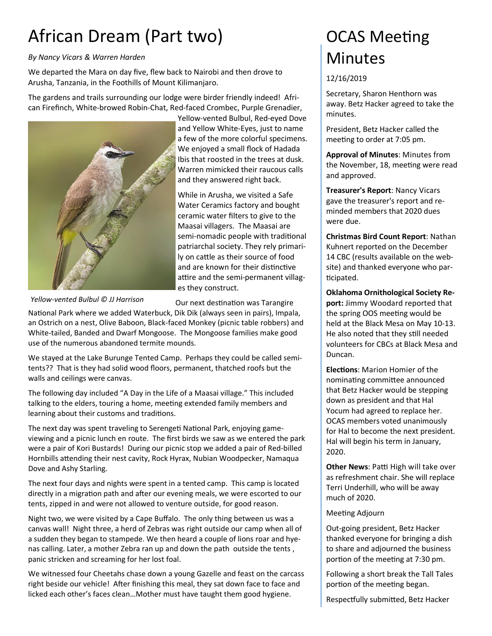# African Dream (Part two)

### *By Nancy Vicars & Warren Harden*

We departed the Mara on day five, flew back to Nairobi and then drove to Arusha, Tanzania, in the Foothills of Mount Kilimanjaro.

The gardens and trails surrounding our lodge were birder friendly indeed! African Firefinch, White-browed Robin-Chat, Red-faced Crombec, Purple Grenadier,



Yellow-vented Bulbul, Red-eyed Dove and Yellow White-Eyes, just to name a few of the more colorful specimens. We enjoyed a small flock of Hadada Ibis that roosted in the trees at dusk. Warren mimicked their raucous calls and they answered right back.

While in Arusha, we visited a Safe Water Ceramics factory and bought ceramic water filters to give to the Maasai villagers. The Maasai are semi-nomadic people with traditional patriarchal society. They rely primarily on cattle as their source of food and are known for their distinctive attire and the semi-permanent villages they construct.

*Yellow-vented Bulbul © JJ Harrison* 

Our next destination was Tarangire

National Park where we added Waterbuck, Dik Dik (always seen in pairs), Impala, an Ostrich on a nest, Olive Baboon, Black-faced Monkey (picnic table robbers) and White-tailed, Banded and Dwarf Mongoose. The Mongoose families make good use of the numerous abandoned termite mounds.

We stayed at the Lake Burunge Tented Camp. Perhaps they could be called semitents?? That is they had solid wood floors, permanent, thatched roofs but the walls and ceilings were canvas.

The following day included "A Day in the Life of a Maasai village." This included talking to the elders, touring a home, meeting extended family members and learning about their customs and traditions.

The next day was spent traveling to Serengeti National Park, enjoying gameviewing and a picnic lunch en route. The first birds we saw as we entered the park were a pair of Kori Bustards! During our picnic stop we added a pair of Red-billed Hornbills attending their nest cavity, Rock Hyrax, Nubian Woodpecker, Namaqua Dove and Ashy Starling.

The next four days and nights were spent in a tented camp. This camp is located directly in a migration path and after our evening meals, we were escorted to our tents, zipped in and were not allowed to venture outside, for good reason.

Night two, we were visited by a Cape Buffalo. The only thing between us was a canvas wall! Night three, a herd of Zebras was right outside our camp when all of a sudden they began to stampede. We then heard a couple of lions roar and hyenas calling. Later, a mother Zebra ran up and down the path outside the tents , panic stricken and screaming for her lost foal.

We witnessed four Cheetahs chase down a young Gazelle and feast on the carcass right beside our vehicle! After finishing this meal, they sat down face to face and licked each other's faces clean…Mother must have taught them good hygiene.

## **OCAS Meeting Minutes**

### 12/16/2019

Secretary, Sharon Henthorn was away. Betz Hacker agreed to take the minutes.

President, Betz Hacker called the meeting to order at 7:05 pm.

**Approval of Minutes**: Minutes from the November, 18, meeting were read and approved.

**Treasurer's Report**: Nancy Vicars gave the treasurer's report and reminded members that 2020 dues were due.

**Christmas Bird Count Report**: Nathan Kuhnert reported on the December 14 CBC (results available on the website) and thanked everyone who par ticipated.

**Oklahoma Ornithological Society Report:** Jimmy Woodard reported that the spring OOS meeting would be held at the Black Mesa on May 10-13. He also noted that they still needed volunteers for CBCs at Black Mesa and Duncan.

**Elections: Marion Homier of the** nominating committee announced that Betz Hacker would be stepping down as president and that Hal Yocum had agreed to replace her. OCAS members voted unanimously for Hal to become the next president. Hal will begin his term in January, 2020.

**Other News: Patti High will take over** as refreshment chair. She will replace Terri Underhill, who will be away much of 2020.

#### Meeting Adjourn

Out-going president, Betz Hacker thanked everyone for bringing a dish to share and adjourned the business portion of the meeting at 7:30 pm.

Following a short break the Tall Tales portion of the meeting began.

Respectfully submitted, Betz Hacker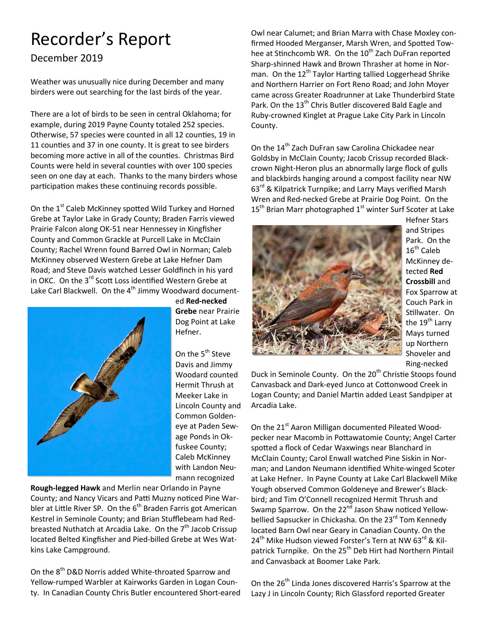# Recorder's Report

December 2019

Weather was unusually nice during December and many birders were out searching for the last birds of the year.

There are a lot of birds to be seen in central Oklahoma; for example, during 2019 Payne County totaled 252 species. Otherwise, 57 species were counted in all 12 counties, 19 in 11 counties and 37 in one county. It is great to see birders becoming more active in all of the counties. Christmas Bird Counts were held in several counties with over 100 species seen on one day at each. Thanks to the many birders whose participation makes these continuing records possible.

On the 1<sup>st</sup> Caleb McKinney spotted Wild Turkey and Horned Grebe at Taylor Lake in Grady County; Braden Farris viewed Prairie Falcon along OK-51 near Hennessey in Kingfisher County and Common Grackle at Purcell Lake in McClain County; Rachel Wrenn found Barred Owl in Norman; Caleb McKinney observed Western Grebe at Lake Hefner Dam Road; and Steve Davis watched Lesser Goldfinch in his yard in OKC. On the 3<sup>rd</sup> Scott Loss identified Western Grebe at Lake Carl Blackwell. On the 4<sup>th</sup> Jimmy Woodward document-



ed **Red-necked Grebe** near Prairie Dog Point at Lake Hefner.

On the 5<sup>th</sup> Steve Davis and Jimmy Woodard counted Hermit Thrush at Meeker Lake in Lincoln County and Common Goldeneye at Paden Sewage Ponds in Okfuskee County; Caleb McKinney with Landon Neumann recognized

**Rough-legged Hawk** and Merlin near Orlando in Payne County; and Nancy Vicars and Patti Muzny noticed Pine Warbler at Little River SP. On the 6<sup>th</sup> Braden Farris got American Kestrel in Seminole County; and Brian Stufflebeam had Redbreasted Nuthatch at Arcadia Lake. On the  $7<sup>th</sup>$  Jacob Crissup located Belted Kingfisher and Pied-billed Grebe at Wes Watkins Lake Campground.

On the 8<sup>th</sup> D&D Norris added White-throated Sparrow and Yellow-rumped Warbler at Kairworks Garden in Logan County. In Canadian County Chris Butler encountered Short-eared Owl near Calumet; and Brian Marra with Chase Moxley confirmed Hooded Merganser, Marsh Wren, and Spotted Towhee at Stinchcomb WR. On the 10<sup>th</sup> Zach DuFran reported Sharp-shinned Hawk and Brown Thrasher at home in Norman. On the 12<sup>th</sup> Taylor Harting tallied Loggerhead Shrike and Northern Harrier on Fort Reno Road; and John Moyer came across Greater Roadrunner at Lake Thunderbird State Park. On the 13<sup>th</sup> Chris Butler discovered Bald Eagle and Ruby-crowned Kinglet at Prague Lake City Park in Lincoln County.

On the 14<sup>th</sup> Zach DuFran saw Carolina Chickadee near Goldsby in McClain County; Jacob Crissup recorded Blackcrown Night-Heron plus an abnormally large flock of gulls and blackbirds hanging around a compost facility near NW 63<sup>rd</sup> & Kilpatrick Turnpike; and Larry Mays verified Marsh Wren and Red-necked Grebe at Prairie Dog Point. On the 15<sup>th</sup> Brian Marr photographed 1<sup>st</sup> winter Surf Scoter at Lake



Hefner Stars and Stripes Park. On the 16<sup>th</sup> Caleb McKinney detected **Red Crossbill** and Fox Sparrow at Couch Park in Stillwater. On the 19<sup>th</sup> Larry Mays turned up Northern Shoveler and Ring-necked

Duck in Seminole County. On the 20<sup>th</sup> Christie Stoops found Canvasback and Dark-eyed Junco at Cottonwood Creek in Logan County; and Daniel Martin added Least Sandpiper at Arcadia Lake.

On the 21<sup>st</sup> Aaron Milligan documented Pileated Woodpecker near Macomb in Pottawatomie County; Angel Carter spotted a flock of Cedar Waxwings near Blanchard in McClain County; Carol Enwall watched Pine Siskin in Norman; and Landon Neumann identified White-winged Scoter at Lake Hefner. In Payne County at Lake Carl Blackwell Mike Yough observed Common Goldeneye and Brewer's Blackbird; and Tim O'Connell recognized Hermit Thrush and Swamp Sparrow. On the 22<sup>nd</sup> Jason Shaw noticed Yellowbellied Sapsucker in Chickasha. On the 23<sup>rd</sup> Tom Kennedy located Barn Owl near Geary in Canadian County. On the 24<sup>th</sup> Mike Hudson viewed Forster's Tern at NW 63<sup>rd</sup> & Kilpatrick Turnpike. On the 25<sup>th</sup> Deb Hirt had Northern Pintail and Canvasback at Boomer Lake Park.

On the 26<sup>th</sup> Linda Jones discovered Harris's Sparrow at the Lazy J in Lincoln County; Rich Glassford reported Greater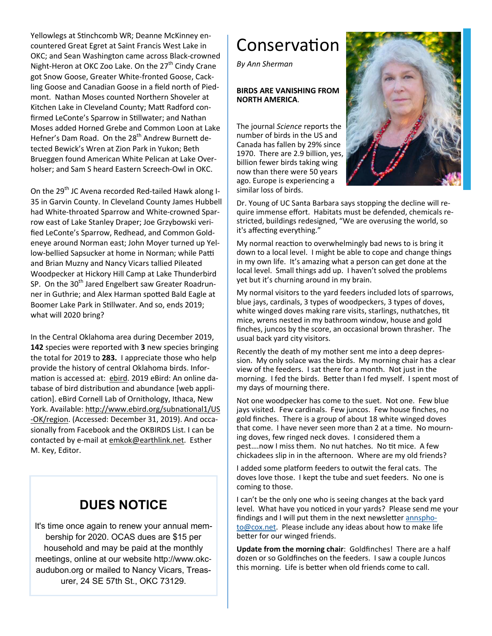Yellowlegs at Stinchcomb WR; Deanne McKinney encountered Great Egret at Saint Francis West Lake in OKC; and Sean Washington came across Black-crowned Night-Heron at OKC Zoo Lake. On the 27<sup>th</sup> Cindy Crane got Snow Goose, Greater White-fronted Goose, Cackling Goose and Canadian Goose in a field north of Piedmont. Nathan Moses counted Northern Shoveler at Kitchen Lake in Cleveland County; Matt Radford confirmed LeConte's Sparrow in Stillwater; and Nathan Moses added Horned Grebe and Common Loon at Lake Hefner's Dam Road. On the 28<sup>th</sup> Andrew Burnett detected Bewick's Wren at Zion Park in Yukon; Beth Brueggen found American White Pelican at Lake Overholser; and Sam S heard Eastern Screech-Owl in OKC.

On the 29<sup>th</sup> JC Avena recorded Red-tailed Hawk along I-35 in Garvin County. In Cleveland County James Hubbell had White-throated Sparrow and White-crowned Sparrow east of Lake Stanley Draper; Joe Grzybowski verified LeConte's Sparrow, Redhead, and Common Goldeneye around Norman east; John Moyer turned up Yellow-bellied Sapsucker at home in Norman; while Patti and Brian Muzny and Nancy Vicars tallied Pileated Woodpecker at Hickory Hill Camp at Lake Thunderbird SP. On the  $30<sup>th</sup>$  Jared Engelbert saw Greater Roadrunner in Guthrie; and Alex Harman spotted Bald Eagle at Boomer Lake Park in Stillwater. And so, ends 2019; what will 2020 bring?

In the Central Oklahoma area during December 2019, **142** species were reported with **3** new species bringing the total for 2019 to **283.** I appreciate those who help provide the history of central Oklahoma birds. Information is accessed at: ebird. 2019 eBird: An online database of bird distribution and abundance [web application]. eBird Cornell Lab of Ornithology, Ithaca, New York. Available: http://www.ebird.org/subnational1/US -OK/region. (Accessed: December 31, 2019). And occasionally from Facebook and the OKBIRDS List. I can be contacted by e-mail at emkok@earthlink.net. Esther M. Key, Editor.

## **DUES NOTICE**

It's time once again to renew your annual membership for 2020. OCAS dues are \$15 per household and may be paid at the monthly meetings, online at our website http://www.okcaudubon.org or mailed to Nancy Vicars, Treasurer, 24 SE 57th St., OKC 73129.

# Conservation

*By Ann Sherman* 

### **BIRDS ARE VANISHING FROM NORTH AMERICA**.

The journal *Science* reports the number of birds in the US and Canada has fallen by 29% since 1970. There are 2.9 billion, yes, billion fewer birds taking wing now than there were 50 years ago. Europe is experiencing a similar loss of birds.



Dr. Young of UC Santa Barbara says stopping the decline will require immense effort. Habitats must be defended, chemicals restricted, buildings redesigned, "We are overusing the world, so it's affecting everything."

My normal reaction to overwhelmingly bad news to is bring it down to a local level. I might be able to cope and change things in my own life. It's amazing what a person can get done at the local level. Small things add up. I haven't solved the problems yet but it's churning around in my brain.

My normal visitors to the yard feeders included lots of sparrows, blue jays, cardinals, 3 types of woodpeckers, 3 types of doves, white winged doves making rare visits, starlings, nuthatches, tit mice, wrens nested in my bathroom window, house and gold finches, juncos by the score, an occasional brown thrasher. The usual back yard city visitors.

Recently the death of my mother sent me into a deep depression. My only solace was the birds. My morning chair has a clear view of the feeders. I sat there for a month. Not just in the morning. I fed the birds. Better than I fed myself. I spent most of my days of mourning there.

Not one woodpecker has come to the suet. Not one. Few blue jays visited. Few cardinals. Few juncos. Few house finches, no gold finches. There is a group of about 18 white winged doves that come. I have never seen more than 2 at a time. No mourning doves, few ringed neck doves. I considered them a pest....now I miss them. No nut hatches. No tit mice. A few chickadees slip in in the afternoon. Where are my old friends?

I added some platform feeders to outwit the feral cats. The doves love those. I kept the tube and suet feeders. No one is coming to those.

I can't be the only one who is seeing changes at the back yard level. What have you noticed in your yards? Please send me your findings and I will put them in the next newsletter annsphoto@cox.net. Please include any ideas about how to make life better for our winged friends.

**Update from the morning chair**: Goldfinches! There are a half dozen or so Goldfinches on the feeders. I saw a couple Juncos this morning. Life is better when old friends come to call.